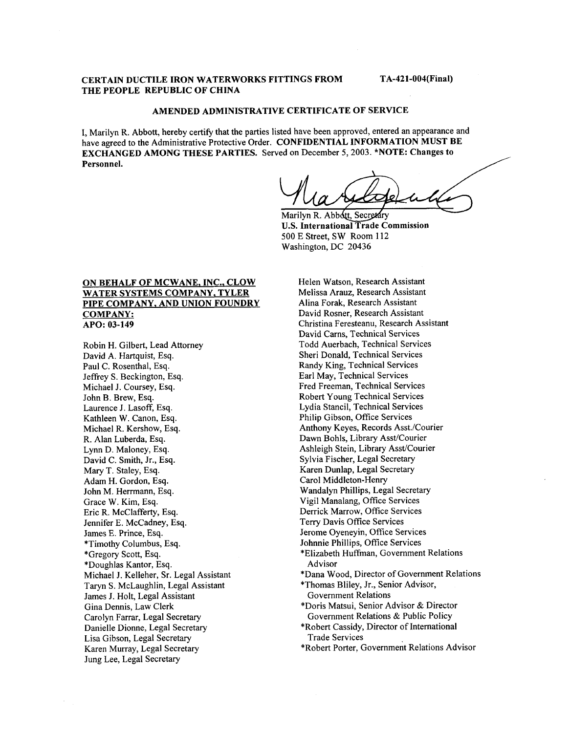### **CERTAIN DUCTILE IRON WATERWORKS FITTINGS FROM THE PEOPLE REPUBLIC OF CHINA**

**TA-421-004(Final)** 

# **AMENDED ADMINISTRATIVE CERTIFICATE OF SERVICE**

I, Marilyn R. Abbott, hereby certify that the parties listed have been approved, entered an appearance and have agreed to the Administrative Protective Order. **CONFIDENTIAL INFORMATION MUST BE EXCHANGED AMONG THESE PARTIES.** Served on December 5,2003. **\*NOTE: Changes to Personnel.** 

**U.S. International Trade Commission** Marilyn R. Abbott, Secretary 500 E Street, SW Room 112 Washington, DC 20436

## **ON BEHALF OF MCWANE, INC.. CLOW WATER SYSTEMS COMPANY. TYLER PIPE COMPANY, AND UNION FOUNDRY COMPANY: APO: 03-149**

Robin H. Gilbert, Lead Attorney David A. Hartquist, Esq. Paul C. Rosenthal, Esq. Jeffrey S. Beckington, Esq. Michael J. Coursey, Esq. John B. Brew, Esq. Laurence J. Lasoff, Esq. Kathleen W. Canon, Esq. Michael R. Kershow, Esq. R. Alan Luberda, Esq. Lynn D. Maloney, Esq. David C. Smith, Jr., Esq. Mary T. Staley, Esq. Adam H. Gordon, Esq. John M. Herrmann, Esq. Grace W. Kim, Esq. Eric R. McClafferty, Esq. Jennifer E. McCadney, Esq. James E. Prince, Esq. \*Timothy Columbus, Esq. \*Gregory Scott, Esq. \*Doughlas Kantor, Esq. Michael J. Kelleher, Sr. Legal Assistant Taryn S. McLaughlin, Legal Assistant James J. Holt, Legal Assistant Gina Dennis, Law Clerk Carolyn Farrar, Legal Secretary Danielle Dionne, Legal Secretary Lisa Gibson, Legal Secretary Karen Murray, Legal Secretary Jung Lee, Legal Secretary

Helen Watson, Research Assistant Melissa Arauz, Research Assistant Alina Forak, Research Assistant David Rosner, Research Assistant Christina Feresteanu, Research Assistant David Cams, Technical Services Todd Auerbach, Technical Services Sheri Donald, Technical Services Randy King, Technical Services Earl May, Technical Services Fred Freeman, Technical Services Robert Young Technical Services Lydia Stancil, Technical Services Philip Gibson, Office Services Anthony Keyes, Records Asst./Courier Dawn Bohls, Library Asst/Courier Ashleigh Stein, Library Asst/Courier Sylvia Fischer, Legal Secretary Karen Dunlap, Legal Secretary Carol Middleton-Henry Wandalyn Phillips, Legal Secretary Vigil Manalang, Office Services Derrick Marrow, Office Services Terry Davis Office Services Jerome Oyeneyin, Office Services Johnnie Phillips, Office Services \*Elizabeth Huffman, Government Relations \*Dana Wood, Director of Government Relations \*Thomas Bliley, Jr., Senior Advisor, Government Relations \*Doris Matsui, Senior Advisor & Director Government Relations & Public Policy \*Robert Cassidy, Director of International Trade Services \*Robert Porter, Government Relations Advisor Advisor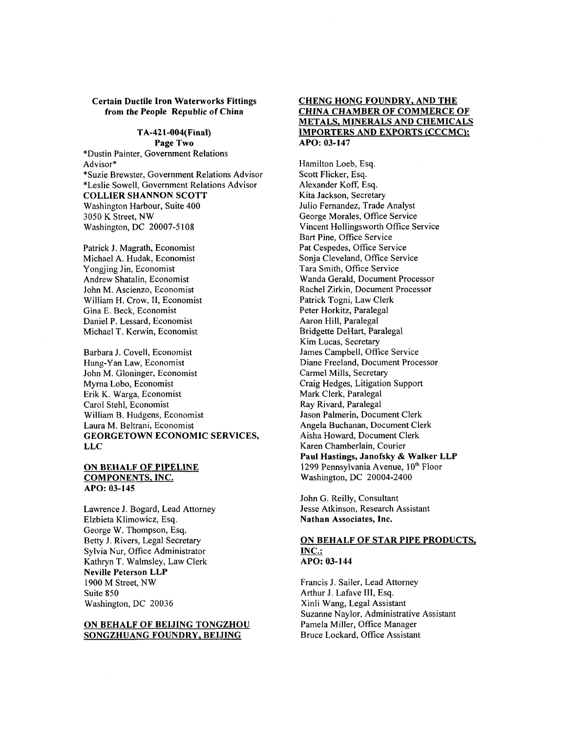#### **Certain Ductile Iron Waterworks Fittings from the People Republic of China**

#### **TA-421-004(Final) Page Two**

\*Dustin Painter, Government Relations Advisor\* \*Suzie Brewster, Government Relations Advisor \*Leslie Sowell, Government Relations Advisor **COLLIER SHANNON SCOTT**  Washington Harbour, Suite 400 3050 K Street, NW Washington, DC 20007-5 108

Patrick J. Magrath, Economist Michael A. Hudak, Economist Yongjing Jin, Economist Andrew Shatalin, Economist John M. Ascienzo, Economist William H. Crow, 11, Economist Gina E. Beck, Economist Daniel P. Lessard, Economist Michael T. Kerwin, Economist

Barbara J. Covell, Economist Hung-Yan Law, Economist John M. Gloninger, Economist Myrna Lobo, Economist Erik K. Warga, Economist Carol Stehl, Economist William B. Hudgens, Economist Laura M. Beltrani, Economist **GEORGETOWN ECONOMIC SERVICES, LLC** 

### **ON BEHALF OF PIPELINE COMPONENTS, INC. APO: 03-145**

Lawrence J. Bogard, Lead Attorney Elzbieta Klimowicz, Esq. George W. Thompson, Esq. Betty J. Rivers, Legal Secretary Sylvia Nur, Office Administrator Kathryn T. Walmsley, Law Clerk **Neville Peterson LLP**  1900 M Street, NW Suite 850 Washington, DC 20036

### **ON BEHALF OF BEIJING TONGZHOU SONGZHUANG FOUNDRY, BEIJING**

### **CHENG HONG FOUNDRY, AND THE CHINA CHAMBER OF COMMERCE OF METALS, MINERALS AND CHEMICALS IMPORTERS AND EXPORTS (CCCMC): APO: 03-147**

Hamilton Loeb, Esq. Scott Flicker, Esq. Alexander Koff, Esq. Kita Jackson, Secretary Julio Fernandez, Trade Analyst George Morales, Office Service Vincent Hollingsworth Office Service Bart Pine, Office Service Pat Cespedes, Office Service Sonja Cleveland, Office Service Tara Smith, Office Service Wanda Gerald, Document Processor Rachel Zirkin, Document Processor Patrick Togni, Law Clerk Peter Horkitz, Paralegal Aaron Hill, Paralegal Bridgette DeHart, Paralegal Kim Lucas, Secretary James Campbell, Office Service Diane Freeland, Document Processor Carmel Mills, Secretary Craig Hedges, Litigation Support Mark Clerk, Paralegal Ray Rivard, Paralegal Jason Palmerin, Document Clerk Angela Buchanan, Document Clerk Aisha Howard, Document Clerk Karen Chamberlain, Courier **Paul Hastings, Janofsky** & **Walker LLP**  1299 Pennsylvania Avenue,  $10<sup>th</sup>$  Floor Washington, DC 20004-2400

John G. Reilly, Consultant Jesse Atkinson, Research Assistant **Nathan Associates, Inc.** 

### **ON BEHALF OF STAR PIPE PRODUCTS, INC.: APO: 03-144**

Francis J. Sailer, Lead Attorney Arthur J. Lafave **111,** Esq. Xinli Wang, Legal Assistant Suzanne Naylor, Administrative Assistant Pamela Miller, Office Manager Bruce Lockard, Office Assistant